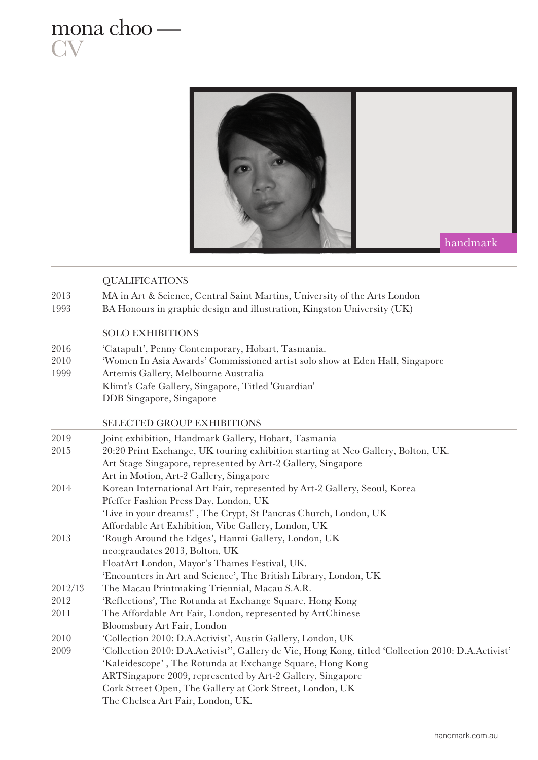

mona choo —

**CV** 

|              | <b>QUALIFICATIONS</b>                                                                                                                                |
|--------------|------------------------------------------------------------------------------------------------------------------------------------------------------|
| 2013<br>1993 | MA in Art & Science, Central Saint Martins, University of the Arts London<br>BA Honours in graphic design and illustration, Kingston University (UK) |
|              | <b>SOLO EXHIBITIONS</b>                                                                                                                              |
| 2016         | 'Catapult', Penny Contemporary, Hobart, Tasmania.                                                                                                    |
| 2010         | 'Women In Asia Awards' Commissioned artist solo show at Eden Hall, Singapore                                                                         |
| 1999         | Artemis Gallery, Melbourne Australia                                                                                                                 |
|              | Klimt's Cafe Gallery, Singapore, Titled 'Guardian'                                                                                                   |
|              | DDB Singapore, Singapore                                                                                                                             |
|              | <b>SELECTED GROUP EXHIBITIONS</b>                                                                                                                    |
| 2019         | Joint exhibition, Handmark Gallery, Hobart, Tasmania                                                                                                 |
| 2015         | 20:20 Print Exchange, UK touring exhibition starting at Neo Gallery, Bolton, UK.                                                                     |
|              | Art Stage Singapore, represented by Art-2 Gallery, Singapore                                                                                         |
|              | Art in Motion, Art-2 Gallery, Singapore                                                                                                              |
| 2014         | Korean International Art Fair, represented by Art-2 Gallery, Seoul, Korea                                                                            |
|              | Pfeffer Fashion Press Day, London, UK                                                                                                                |
|              | 'Live in your dreams!', The Crypt, St Pancras Church, London, UK                                                                                     |
|              | Affordable Art Exhibition, Vibe Gallery, London, UK                                                                                                  |
| 2013         | 'Rough Around the Edges', Hanmi Gallery, London, UK                                                                                                  |
|              | neo: graudates 2013, Bolton, UK                                                                                                                      |
|              | FloatArt London, Mayor's Thames Festival, UK.                                                                                                        |
|              | 'Encounters in Art and Science', The British Library, London, UK                                                                                     |
| 2012/13      | The Macau Printmaking Triennial, Macau S.A.R.                                                                                                        |
| 2012         | 'Reflections', The Rotunda at Exchange Square, Hong Kong                                                                                             |
| 2011         | The Affordable Art Fair, London, represented by ArtChinese<br>Bloomsbury Art Fair, London                                                            |
| 2010         | 'Collection 2010: D.A.Activist', Austin Gallery, London, UK                                                                                          |
| 2009         | 'Collection 2010: D.A.Activist'', Gallery de Vie, Hong Kong, titled 'Collection 2010: D.A.Activist'                                                  |
|              | 'Kaleidescope', The Rotunda at Exchange Square, Hong Kong                                                                                            |
|              | ARTSingapore 2009, represented by Art-2 Gallery, Singapore                                                                                           |
|              | Cork Street Open, The Gallery at Cork Street, London, UK                                                                                             |
|              | The Chelsea Art Fair, London, UK.                                                                                                                    |
|              |                                                                                                                                                      |